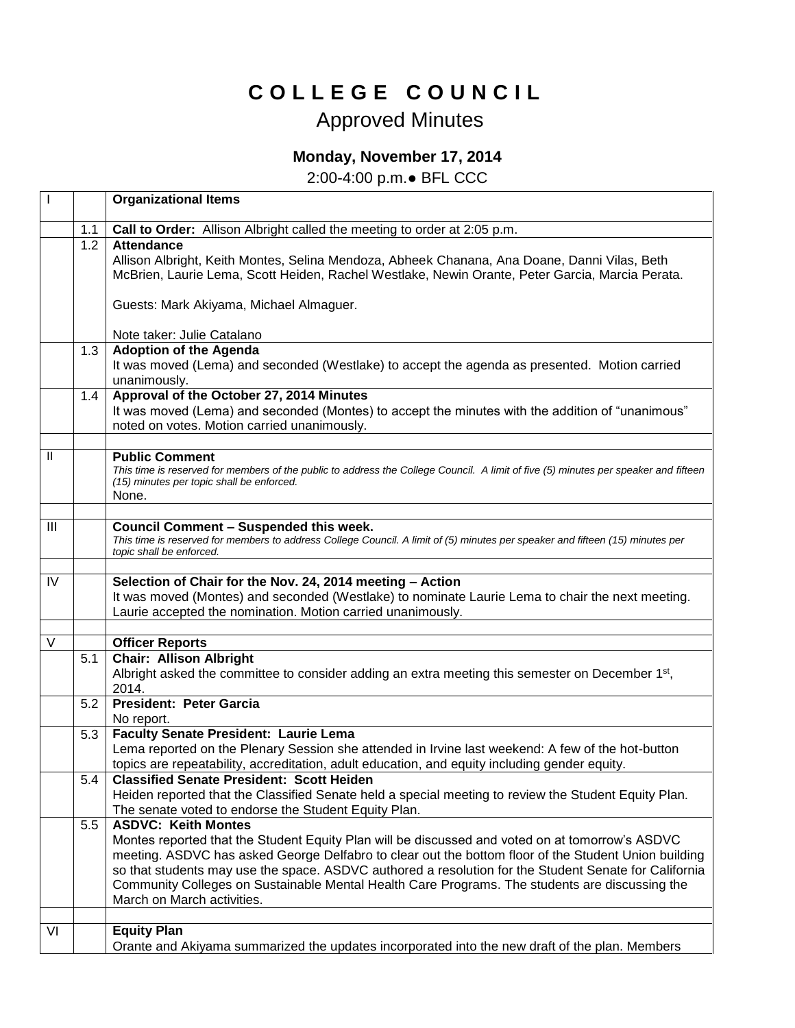## **C O L L E G E C O U N C I L**

## Approved Minutes

## **Monday, November 17, 2014**

2:00-4:00 p.m.● BFL CCC

|     |                  | <b>Organizational Items</b>                                                                                                                                                                                                                                                                                                                                                                                                                                                    |
|-----|------------------|--------------------------------------------------------------------------------------------------------------------------------------------------------------------------------------------------------------------------------------------------------------------------------------------------------------------------------------------------------------------------------------------------------------------------------------------------------------------------------|
|     | 1.1              | Call to Order: Allison Albright called the meeting to order at 2:05 p.m.                                                                                                                                                                                                                                                                                                                                                                                                       |
|     | 1.2              | <b>Attendance</b><br>Allison Albright, Keith Montes, Selina Mendoza, Abheek Chanana, Ana Doane, Danni Vilas, Beth<br>McBrien, Laurie Lema, Scott Heiden, Rachel Westlake, Newin Orante, Peter Garcia, Marcia Perata.                                                                                                                                                                                                                                                           |
|     |                  | Guests: Mark Akiyama, Michael Almaguer.                                                                                                                                                                                                                                                                                                                                                                                                                                        |
|     |                  | Note taker: Julie Catalano                                                                                                                                                                                                                                                                                                                                                                                                                                                     |
|     | 1.3              | <b>Adoption of the Agenda</b>                                                                                                                                                                                                                                                                                                                                                                                                                                                  |
|     |                  | It was moved (Lema) and seconded (Westlake) to accept the agenda as presented. Motion carried<br>unanimously.                                                                                                                                                                                                                                                                                                                                                                  |
|     | $1.4^{\circ}$    | Approval of the October 27, 2014 Minutes<br>It was moved (Lema) and seconded (Montes) to accept the minutes with the addition of "unanimous"<br>noted on votes. Motion carried unanimously.                                                                                                                                                                                                                                                                                    |
| Ш   |                  | <b>Public Comment</b>                                                                                                                                                                                                                                                                                                                                                                                                                                                          |
|     |                  | This time is reserved for members of the public to address the College Council. A limit of five (5) minutes per speaker and fifteen<br>(15) minutes per topic shall be enforced.<br>None.                                                                                                                                                                                                                                                                                      |
|     |                  |                                                                                                                                                                                                                                                                                                                                                                                                                                                                                |
| III |                  | <b>Council Comment - Suspended this week.</b><br>This time is reserved for members to address College Council. A limit of (5) minutes per speaker and fifteen (15) minutes per<br>topic shall be enforced.                                                                                                                                                                                                                                                                     |
| IV  |                  | Selection of Chair for the Nov. 24, 2014 meeting - Action<br>It was moved (Montes) and seconded (Westlake) to nominate Laurie Lema to chair the next meeting.<br>Laurie accepted the nomination. Motion carried unanimously.                                                                                                                                                                                                                                                   |
| V   |                  |                                                                                                                                                                                                                                                                                                                                                                                                                                                                                |
|     | 5.1              | <b>Officer Reports</b><br><b>Chair: Allison Albright</b>                                                                                                                                                                                                                                                                                                                                                                                                                       |
|     |                  | Albright asked the committee to consider adding an extra meeting this semester on December 1 <sup>st</sup> ,<br>2014.                                                                                                                                                                                                                                                                                                                                                          |
|     | 5.2              | <b>President: Peter Garcia</b><br>No report.                                                                                                                                                                                                                                                                                                                                                                                                                                   |
|     | 5.3              | <b>Faculty Senate President: Laurie Lema</b><br>Lema reported on the Plenary Session she attended in Irvine last weekend: A few of the hot-button<br>topics are repeatability, accreditation, adult education, and equity including gender equity.                                                                                                                                                                                                                             |
|     | $\overline{5.4}$ | <b>Classified Senate President: Scott Heiden</b><br>Heiden reported that the Classified Senate held a special meeting to review the Student Equity Plan.<br>The senate voted to endorse the Student Equity Plan.                                                                                                                                                                                                                                                               |
|     | 5.5              | <b>ASDVC: Keith Montes</b><br>Montes reported that the Student Equity Plan will be discussed and voted on at tomorrow's ASDVC<br>meeting. ASDVC has asked George Delfabro to clear out the bottom floor of the Student Union building<br>so that students may use the space. ASDVC authored a resolution for the Student Senate for California<br>Community Colleges on Sustainable Mental Health Care Programs. The students are discussing the<br>March on March activities. |
| VI  |                  | <b>Equity Plan</b><br>Orante and Akiyama summarized the updates incorporated into the new draft of the plan. Members                                                                                                                                                                                                                                                                                                                                                           |